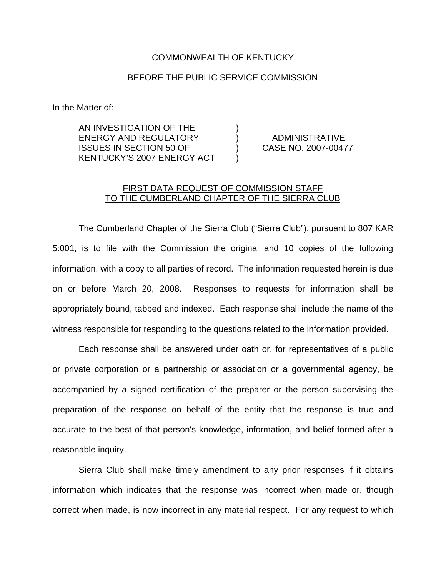## COMMONWEALTH OF KENTUCKY

## BEFORE THE PUBLIC SERVICE COMMISSION

In the Matter of:

AN INVESTIGATION OF THE ENERGY AND REGULATORY ) ADMINISTRATIVE ISSUES IN SECTION 50 OF ) CASE NO. 2007-00477 KENTUCKY'S 2007 ENERGY ACT )

## FIRST DATA REQUEST OF COMMISSION STAFF TO THE CUMBERLAND CHAPTER OF THE SIERRA CLUB

The Cumberland Chapter of the Sierra Club ("Sierra Club"), pursuant to 807 KAR 5:001, is to file with the Commission the original and 10 copies of the following information, with a copy to all parties of record. The information requested herein is due on or before March 20, 2008. Responses to requests for information shall be appropriately bound, tabbed and indexed. Each response shall include the name of the witness responsible for responding to the questions related to the information provided.

Each response shall be answered under oath or, for representatives of a public or private corporation or a partnership or association or a governmental agency, be accompanied by a signed certification of the preparer or the person supervising the preparation of the response on behalf of the entity that the response is true and accurate to the best of that person's knowledge, information, and belief formed after a reasonable inquiry.

Sierra Club shall make timely amendment to any prior responses if it obtains information which indicates that the response was incorrect when made or, though correct when made, is now incorrect in any material respect. For any request to which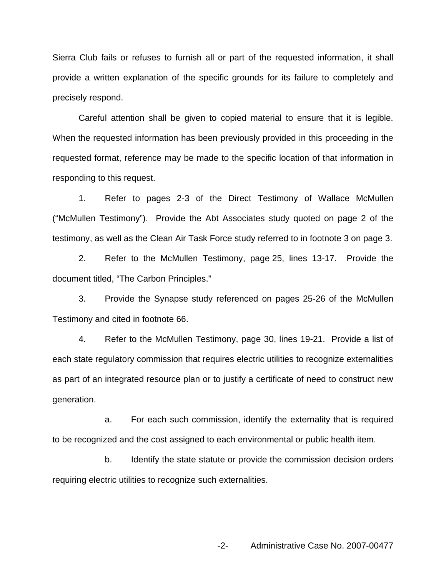Sierra Club fails or refuses to furnish all or part of the requested information, it shall provide a written explanation of the specific grounds for its failure to completely and precisely respond.

Careful attention shall be given to copied material to ensure that it is legible. When the requested information has been previously provided in this proceeding in the requested format, reference may be made to the specific location of that information in responding to this request.

1. Refer to pages 2-3 of the Direct Testimony of Wallace McMullen ("McMullen Testimony"). Provide the Abt Associates study quoted on page 2 of the testimony, as well as the Clean Air Task Force study referred to in footnote 3 on page 3.

2. Refer to the McMullen Testimony, page 25, lines 13-17. Provide the document titled, "The Carbon Principles."

3. Provide the Synapse study referenced on pages 25-26 of the McMullen Testimony and cited in footnote 66.

4. Refer to the McMullen Testimony, page 30, lines 19-21. Provide a list of each state regulatory commission that requires electric utilities to recognize externalities as part of an integrated resource plan or to justify a certificate of need to construct new generation.

a. For each such commission, identify the externality that is required to be recognized and the cost assigned to each environmental or public health item.

b. Identify the state statute or provide the commission decision orders requiring electric utilities to recognize such externalities.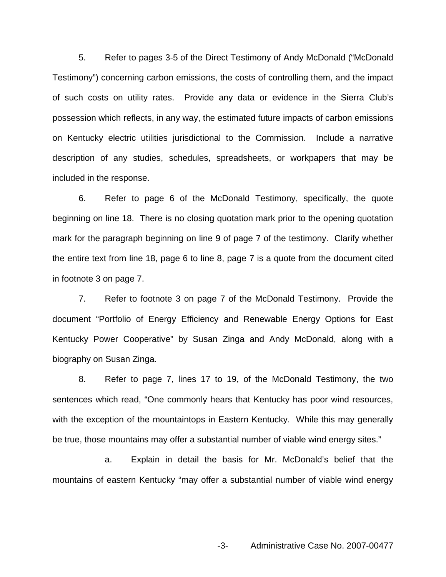5. Refer to pages 3-5 of the Direct Testimony of Andy McDonald ("McDonald Testimony") concerning carbon emissions, the costs of controlling them, and the impact of such costs on utility rates. Provide any data or evidence in the Sierra Club's possession which reflects, in any way, the estimated future impacts of carbon emissions on Kentucky electric utilities jurisdictional to the Commission. Include a narrative description of any studies, schedules, spreadsheets, or workpapers that may be included in the response.

6. Refer to page 6 of the McDonald Testimony, specifically, the quote beginning on line 18. There is no closing quotation mark prior to the opening quotation mark for the paragraph beginning on line 9 of page 7 of the testimony. Clarify whether the entire text from line 18, page 6 to line 8, page 7 is a quote from the document cited in footnote 3 on page 7.

7. Refer to footnote 3 on page 7 of the McDonald Testimony. Provide the document "Portfolio of Energy Efficiency and Renewable Energy Options for East Kentucky Power Cooperative" by Susan Zinga and Andy McDonald, along with a biography on Susan Zinga.

8. Refer to page 7, lines 17 to 19, of the McDonald Testimony, the two sentences which read, "One commonly hears that Kentucky has poor wind resources, with the exception of the mountaintops in Eastern Kentucky. While this may generally be true, those mountains may offer a substantial number of viable wind energy sites."

a. Explain in detail the basis for Mr. McDonald's belief that the mountains of eastern Kentucky "may offer a substantial number of viable wind energy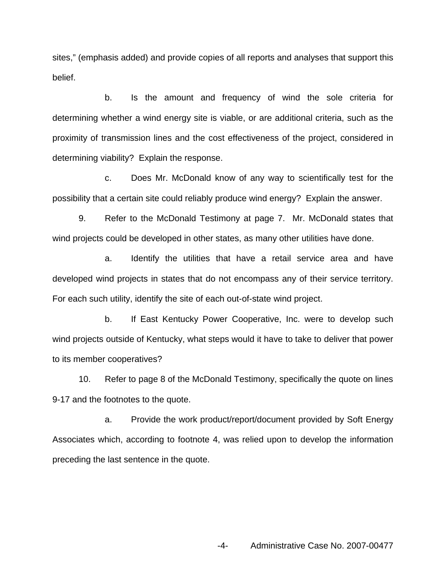sites," (emphasis added) and provide copies of all reports and analyses that support this belief.

b. Is the amount and frequency of wind the sole criteria for determining whether a wind energy site is viable, or are additional criteria, such as the proximity of transmission lines and the cost effectiveness of the project, considered in determining viability? Explain the response.

c. Does Mr. McDonald know of any way to scientifically test for the possibility that a certain site could reliably produce wind energy? Explain the answer.

9. Refer to the McDonald Testimony at page 7. Mr. McDonald states that wind projects could be developed in other states, as many other utilities have done.

a. Identify the utilities that have a retail service area and have developed wind projects in states that do not encompass any of their service territory. For each such utility, identify the site of each out-of-state wind project.

b. If East Kentucky Power Cooperative, Inc. were to develop such wind projects outside of Kentucky, what steps would it have to take to deliver that power to its member cooperatives?

10. Refer to page 8 of the McDonald Testimony, specifically the quote on lines 9-17 and the footnotes to the quote.

a. Provide the work product/report/document provided by Soft Energy Associates which, according to footnote 4, was relied upon to develop the information preceding the last sentence in the quote.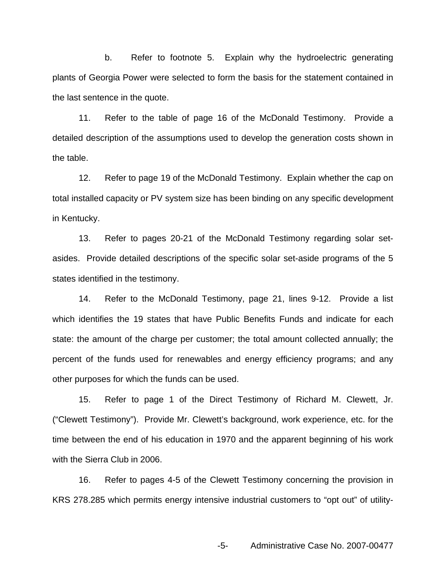b. Refer to footnote 5. Explain why the hydroelectric generating plants of Georgia Power were selected to form the basis for the statement contained in the last sentence in the quote.

11. Refer to the table of page 16 of the McDonald Testimony. Provide a detailed description of the assumptions used to develop the generation costs shown in the table.

12. Refer to page 19 of the McDonald Testimony. Explain whether the cap on total installed capacity or PV system size has been binding on any specific development in Kentucky.

13. Refer to pages 20-21 of the McDonald Testimony regarding solar setasides. Provide detailed descriptions of the specific solar set-aside programs of the 5 states identified in the testimony.

14. Refer to the McDonald Testimony, page 21, lines 9-12. Provide a list which identifies the 19 states that have Public Benefits Funds and indicate for each state: the amount of the charge per customer; the total amount collected annually; the percent of the funds used for renewables and energy efficiency programs; and any other purposes for which the funds can be used.

15. Refer to page 1 of the Direct Testimony of Richard M. Clewett, Jr. ("Clewett Testimony"). Provide Mr. Clewett's background, work experience, etc. for the time between the end of his education in 1970 and the apparent beginning of his work with the Sierra Club in 2006.

16. Refer to pages 4-5 of the Clewett Testimony concerning the provision in KRS 278.285 which permits energy intensive industrial customers to "opt out" of utility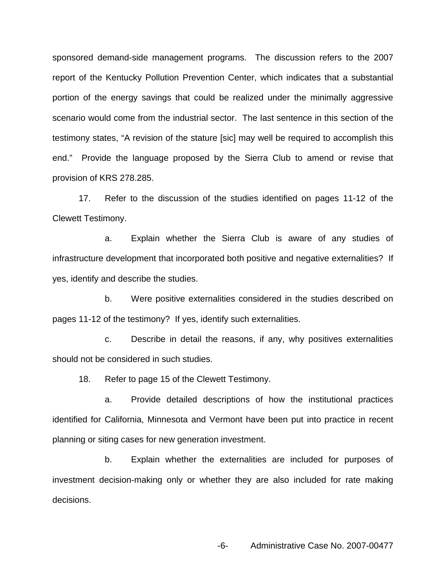sponsored demand-side management programs. The discussion refers to the 2007 report of the Kentucky Pollution Prevention Center, which indicates that a substantial portion of the energy savings that could be realized under the minimally aggressive scenario would come from the industrial sector. The last sentence in this section of the testimony states, "A revision of the stature [sic] may well be required to accomplish this end." Provide the language proposed by the Sierra Club to amend or revise that provision of KRS 278.285.

17. Refer to the discussion of the studies identified on pages 11-12 of the Clewett Testimony.

a. Explain whether the Sierra Club is aware of any studies of infrastructure development that incorporated both positive and negative externalities? If yes, identify and describe the studies.

b. Were positive externalities considered in the studies described on pages 11-12 of the testimony? If yes, identify such externalities.

c. Describe in detail the reasons, if any, why positives externalities should not be considered in such studies.

18. Refer to page 15 of the Clewett Testimony.

a. Provide detailed descriptions of how the institutional practices identified for California, Minnesota and Vermont have been put into practice in recent planning or siting cases for new generation investment.

b. Explain whether the externalities are included for purposes of investment decision-making only or whether they are also included for rate making decisions.